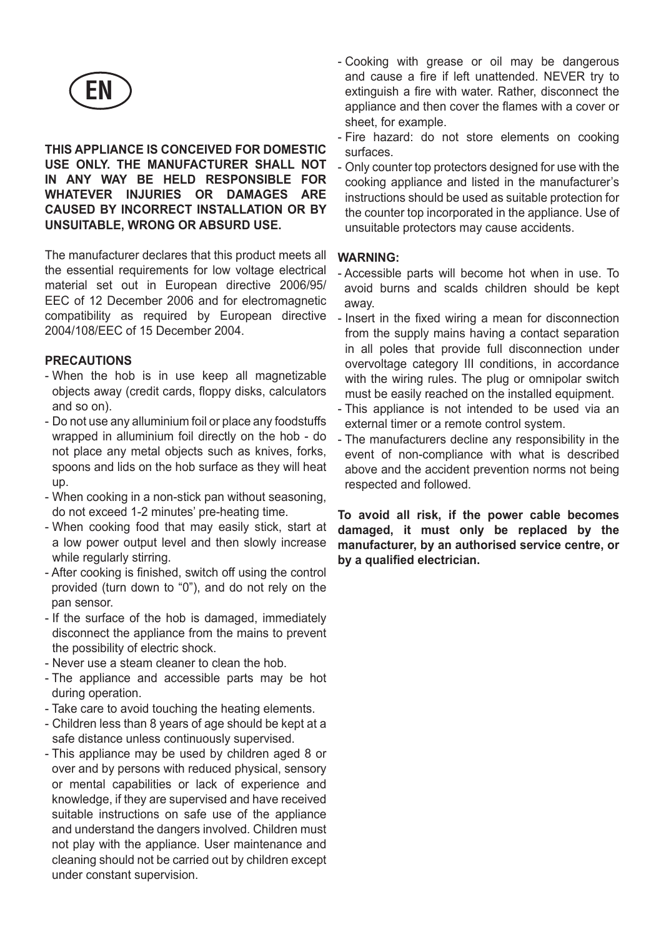

#### **THIS APPLIANCE IS CONCEIVED FOR DOMESTIC USE ONLY. THE MANUFACTURER SHALL NOT IN ANY WAY BE HELD RESPONSIBLE FOR WHATEVER INJURIES OR DAMAGES ARE CAUSED BY INCORRECT INSTALLATION OR BY UNSUITABLE, WRONG OR ABSURD USE.**

The manufacturer declares that this product meets all the essential requirements for low voltage electrical material set out in European directive 2006/95/ EEC of 12 December 2006 and for electromagnetic compatibility as required by European directive 2004/108/EEC of 15 December 2004.

#### **PRECAUTIONS**

- When the hob is in use keep all magnetizable objects away (credit cards, floppy disks, calculators and so on).
- Do not use any alluminium foil or place any foodstuffs wrapped in alluminium foil directly on the hob - do not place any metal objects such as knives, forks, spoons and lids on the hob surface as they will heat up.
- When cooking in a non-stick pan without seasoning, do not exceed 1-2 minutes' pre-heating time.
- When cooking food that may easily stick, start at a low power output level and then slowly increase while regularly stirring.
- After cooking is finished, switch off using the control provided (turn down to "0"), and do not rely on the pan sensor.
- If the surface of the hob is damaged, immediately disconnect the appliance from the mains to prevent the possibility of electric shock.
- Never use a steam cleaner to clean the hob.
- The appliance and accessible parts may be hot during operation.
- Take care to avoid touching the heating elements.
- Children less than 8 years of age should be kept at a safe distance unless continuously supervised.
- This appliance may be used by children aged 8 or over and by persons with reduced physical, sensory or mental capabilities or lack of experience and knowledge, if they are supervised and have received suitable instructions on safe use of the appliance and understand the dangers involved. Children must not play with the appliance. User maintenance and cleaning should not be carried out by children except under constant supervision.
- Cooking with grease or oil may be dangerous and cause a fire if left unattended. NEVER try to extinguish a fire with water. Rather, disconnect the appliance and then cover the flames with a cover or sheet, for example.
- Fire hazard: do not store elements on cooking surfaces.
- Only counter top protectors designed for use with the cooking appliance and listed in the manufacturer's instructions should be used as suitable protection for the counter top incorporated in the appliance. Use of unsuitable protectors may cause accidents.

#### **WARNING:**

- Accessible parts will become hot when in use. To avoid burns and scalds children should be kept away.
- Insert in the fixed wiring a mean for disconnection from the supply mains having a contact separation in all poles that provide full disconnection under overvoltage category III conditions, in accordance with the wiring rules. The plug or omnipolar switch must be easily reached on the installed equipment.
- This appliance is not intended to be used via an external timer or a remote control system.
- The manufacturers decline any responsibility in the event of non-compliance with what is described above and the accident prevention norms not being respected and followed.

**To avoid all risk, if the power cable becomes damaged, it must only be replaced by the manufacturer, by an authorised service centre, or by a qualified electrician.**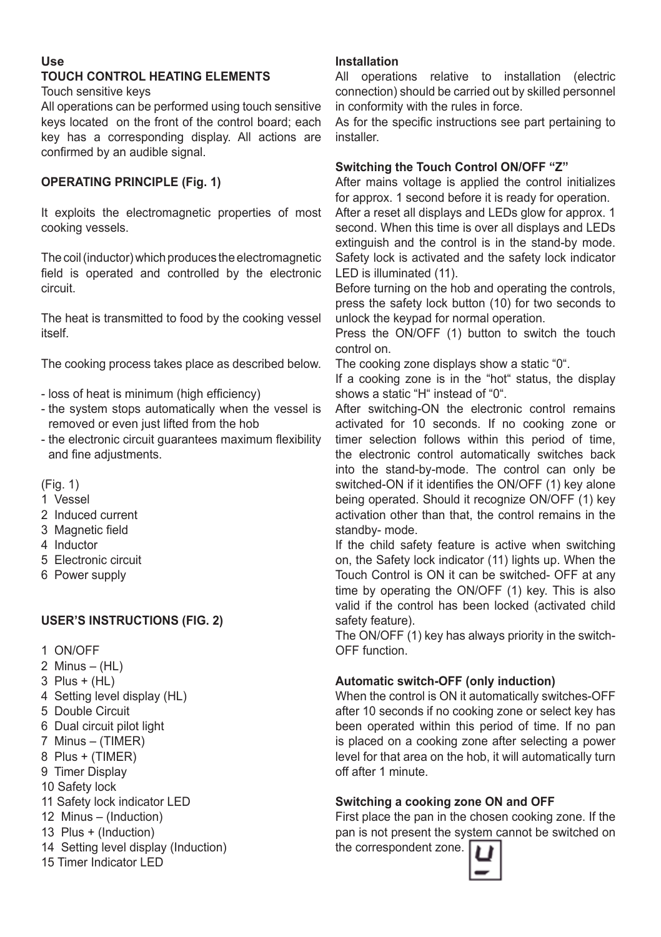#### **Use**

# **TOUCH CONTROL HEATING ELEMENTS**

Touch sensitive keys

All operations can be performed using touch sensitive keys located on the front of the control board; each key has a corresponding display. All actions are confirmed by an audible signal.

#### **OPERATING PRINCIPLE (Fig. 1)**

It exploits the electromagnetic properties of most cooking vessels.

The coil (inductor) which produces the electromagnetic field is operated and controlled by the electronic circuit.

The heat is transmitted to food by the cooking vessel itself.

The cooking process takes place as described below.

- loss of heat is minimum (high efficiency)
- the system stops automatically when the vessel is removed or even just lifted from the hob
- the electronic circuit guarantees maximum flexibility and fine adjustments.

 $(Fiq 1)$ 

- 1 Vessel
- 2 Induced current
- 3 Magnetic field
- 4 Inductor
- 5 Electronic circuit
- 6 Power supply

#### **USER'S INSTRUCTIONS (FIG. 2)**

- 1 ON/OFF
- 2 Minus (HL)
- 3 Plus + (HL)
- 4 Setting level display (HL)
- 5 Double Circuit
- 6 Dual circuit pilot light
- 7 Minus (TIMER)
- 8 Plus + (TIMER)
- 9 Timer Display
- 10 Safety lock
- 11 Safety lock indicator LED
- 12 Minus (Induction)
- 13 Plus + (Induction)
- 14 Setting level display (Induction)
- 15 Timer Indicator LED

#### **Installation**

All operations relative to installation (electric connection) should be carried out by skilled personnel in conformity with the rules in force.

As for the specific instructions see part pertaining to installer.

#### **Switching the Touch Control ON/OFF "Z"**

After mains voltage is applied the control initializes for approx. 1 second before it is ready for operation.

After a reset all displays and LEDs glow for approx. 1 second. When this time is over all displays and LEDs extinguish and the control is in the stand-by mode. Safety lock is activated and the safety lock indicator LED is illuminated (11).

Before turning on the hob and operating the controls, press the safety lock button (10) for two seconds to unlock the keypad for normal operation.

Press the ON/OFF (1) button to switch the touch control on.

The cooking zone displays show a static "0".

If a cooking zone is in the "hot" status, the display shows a static "H" instead of "0".

After switching-ON the electronic control remains activated for 10 seconds. If no cooking zone or timer selection follows within this period of time, the electronic control automatically switches back into the stand-by-mode. The control can only be switched-ON if it identifies the ON/OFF (1) key alone being operated. Should it recognize ON/OFF (1) key activation other than that, the control remains in the standby- mode.

If the child safety feature is active when switching on, the Safety lock indicator (11) lights up. When the Touch Control is ON it can be switched- OFF at any time by operating the ON/OFF (1) key. This is also valid if the control has been locked (activated child safety feature).

The ON/OFF (1) key has always priority in the switch-OFF function.

#### **Automatic switch-OFF (only induction)**

When the control is ON it automatically switches-OFF after 10 seconds if no cooking zone or select key has been operated within this period of time. If no pan is placed on a cooking zone after selecting a power level for that area on the hob, it will automatically turn off after 1 minute.

#### **Switching a cooking zone ON and OFF**

First place the pan in the chosen cooking zone. If the pan is not present the system cannot be switched on the correspondent zone.

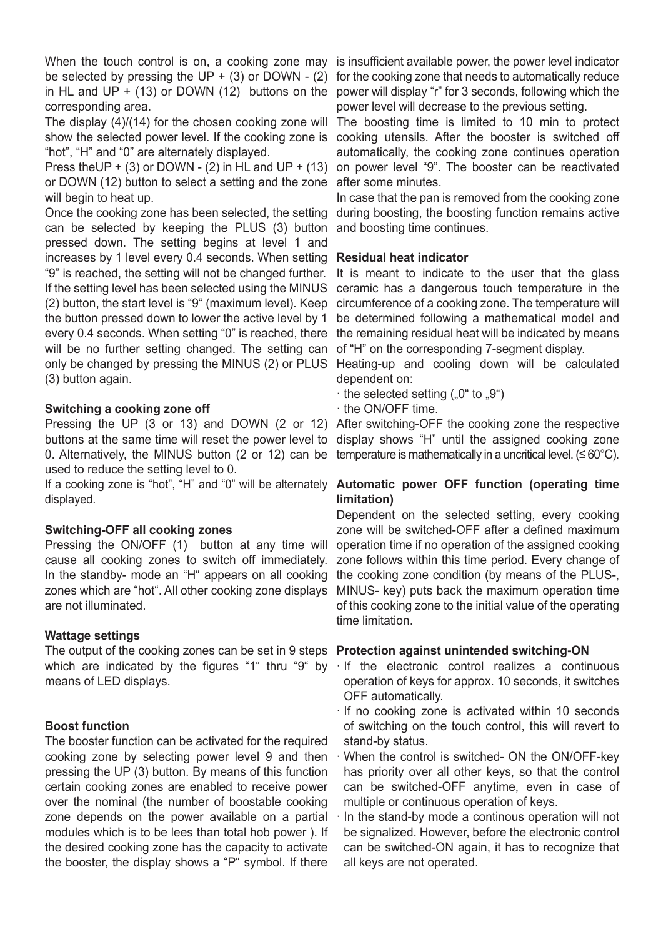When the touch control is on, a cooking zone may be selected by pressing the UP +  $(3)$  or DOWN -  $(2)$ in HL and UP  $+$  (13) or DOWN (12) buttons on the corresponding area.

The display (4)/(14) for the chosen cooking zone will show the selected power level. If the cooking zone is "hot", "H" and "0" are alternately displayed.

Press the UP + (3) or DOWN - (2) in HL and UP + (13) or DOWN (12) button to select a setting and the zone after some minutes. will begin to heat up.

Once the cooking zone has been selected, the setting can be selected by keeping the PLUS (3) button pressed down. The setting begins at level 1 and increases by 1 level every 0.4 seconds. When setting **Residual heat indicator**  "9" is reached, the setting will not be changed further. If the setting level has been selected using the MINUS (2) button, the start level is "9" (maximum level). Keep the button pressed down to lower the active level by 1 every 0.4 seconds. When setting "0" is reached, there will be no further setting changed. The setting can only be changed by pressing the MINUS (2) or PLUS Heating-up and cooling down will be calculated (3) button again.

#### **Switching a cooking zone off**

Pressing the UP (3 or 13) and DOWN (2 or 12) After switching-OFF the cooking zone the respective buttons at the same time will reset the power level to display shows "H" until the assigned cooking zone 0. Alternatively, the MINUS button (2 or 12) can be temperature is mathematically in a uncritical level. (≤60°C). used to reduce the setting level to 0.

displayed.

#### **Switching-OFF all cooking zones**

Pressing the ON/OFF (1) button at any time will cause all cooking zones to switch off immediately. In the standby- mode an "H" appears on all cooking zones which are "hot". All other cooking zone displays are not illuminated.

#### **Wattage settings**

The output of the cooking zones can be set in 9 steps **Protection against unintended switching-ON**  means of LED displays.

#### **Boost function**

The booster function can be activated for the required cooking zone by selecting power level 9 and then pressing the UP (3) button. By means of this function certain cooking zones are enabled to receive power over the nominal (the number of boostable cooking zone depends on the power available on a partial modules which is to be lees than total hob power ). If the desired cooking zone has the capacity to activate the booster, the display shows a "P" symbol. If there

is insufficient available power, the power level indicator for the cooking zone that needs to automatically reduce power will display "r" for 3 seconds, following which the power level will decrease to the previous setting.

The boosting time is limited to 10 min to protect cooking utensils. After the booster is switched off automatically, the cooking zone continues operation on power level "9". The booster can be reactivated

In case that the pan is removed from the cooking zone during boosting, the boosting function remains active and boosting time continues.

It is meant to indicate to the user that the glass ceramic has a dangerous touch temperature in the circumference of a cooking zone. The temperature will be determined following a mathematical model and the remaining residual heat will be indicated by means of "H" on the corresponding 7-segment display.

dependent on:

 $\cdot$  the selected setting  $(.0^{\circ}$  to  $.9^{\circ})$ 

· the ON/OFF time.

#### If a cooking zone is "hot", "H" and "0" will be alternately **Automatic power OFF function (operating time limitation)**

Dependent on the selected setting, every cooking zone will be switched-OFF after a defined maximum operation time if no operation of the assigned cooking zone follows within this time period. Every change of the cooking zone condition (by means of the PLUS-, MINUS- key) puts back the maximum operation time of this cooking zone to the initial value of the operating time limitation.

- which are indicated by the figures "1" thru "9" by · If the electronic control realizes a continuous operation of keys for approx. 10 seconds, it switches OFF automatically.
	- · If no cooking zone is activated within 10 seconds of switching on the touch control, this will revert to stand-by status.
	- · When the control is switched- ON the ON/OFF-key has priority over all other keys, so that the control can be switched-OFF anytime, even in case of multiple or continuous operation of keys.
	- In the stand-by mode a continous operation will not be signalized. However, before the electronic control can be switched-ON again, it has to recognize that all keys are not operated.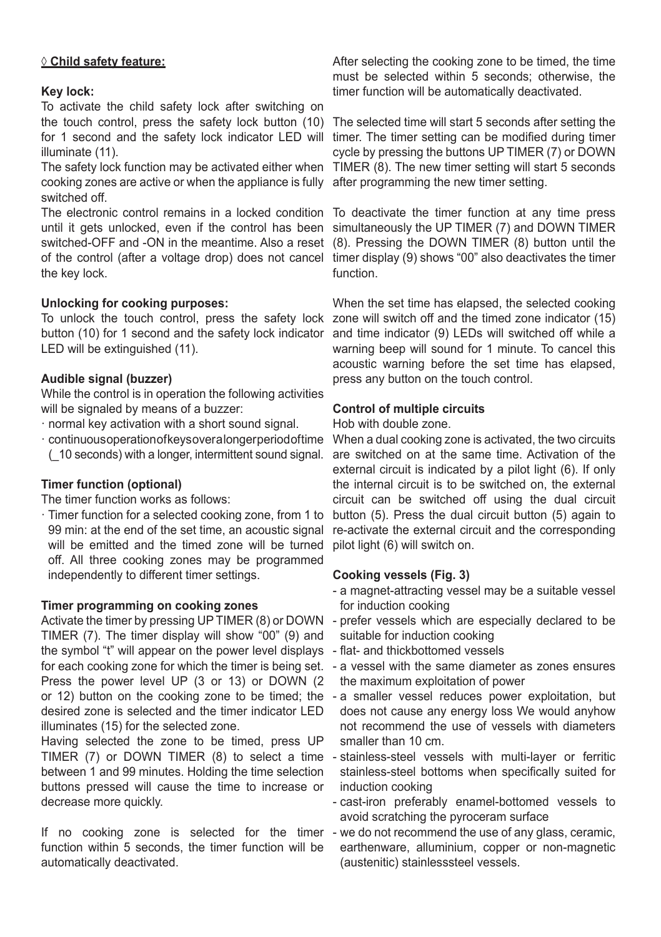#### **◊ Child safety feature:**

#### **Key lock:**

To activate the child safety lock after switching on the touch control, press the safety lock button (10) for 1 second and the safety lock indicator LED will illuminate (11).

The safety lock function may be activated either when TIMER (8). The new timer setting will start 5 seconds cooking zones are active or when the appliance is fully after programming the new timer setting. switched off.

The electronic control remains in a locked condition To deactivate the timer function at any time press until it gets unlocked, even if the control has been simultaneously the UP TIMER (7) and DOWN TIMER switched-OFF and -ON in the meantime. Also a reset (8). Pressing the DOWN TIMER (8) button until the of the control (after a voltage drop) does not cancel timer display (9) shows "00" also deactivates the timer the key lock.

#### **Unlocking for cooking purposes:**

button (10) for 1 second and the safety lock indicator LED will be extinguished (11).

#### **Audible signal (buzzer)**

While the control is in operation the following activities will be signaled by means of a buzzer:

- · normal key activation with a short sound signal.
- · continuous operation of keys over a longer period of time (\_10 seconds) with a longer, intermittent sound signal.

#### **Timer function (optional)**

The timer function works as follows:

· Timer function for a selected cooking zone, from 1 to 99 min: at the end of the set time, an acoustic signal will be emitted and the timed zone will be turned off. All three cooking zones may be programmed independently to different timer settings.

#### **Timer programming on cooking zones**

TIMER (7). The timer display will show "00" (9) and the symbol "t" will appear on the power level displays - flat- and thickbottomed vessels Press the power level UP (3 or 13) or DOWN (2 or 12) button on the cooking zone to be timed; the desired zone is selected and the timer indicator LED illuminates (15) for the selected zone.

Having selected the zone to be timed, press UP between 1 and 99 minutes. Holding the time selection buttons pressed will cause the time to increase or decrease more quickly.

If no cooking zone is selected for the timer - we do not recommend the use of any glass, ceramic, function within 5 seconds, the timer function will be automatically deactivated.

After selecting the cooking zone to be timed, the time must be selected within 5 seconds; otherwise, the timer function will be automatically deactivated.

The selected time will start 5 seconds after setting the timer. The timer setting can be modified during timer cycle by pressing the buttons UP TIMER (7) or DOWN

function.

To unlock the touch control, press the safety lock zone will switch off and the timed zone indicator (15) When the set time has elapsed, the selected cooking and time indicator (9) LEDs will switched off while a warning beep will sound for 1 minute. To cancel this acoustic warning before the set time has elapsed, press any button on the touch control.

#### **Control of multiple circuits**

#### Hob with double zone.

When a dual cooking zone is activated, the two circuits are switched on at the same time. Activation of the external circuit is indicated by a pilot light (6). If only the internal circuit is to be switched on, the external circuit can be switched off using the dual circuit button (5). Press the dual circuit button (5) again to re-activate the external circuit and the corresponding pilot light (6) will switch on.

#### **Cooking vessels (Fig. 3)**

- a magnet-attracting vessel may be a suitable vessel for induction cooking
- Activate the timer by pressing UP TIMER (8) or DOWN prefer vessels which are especially declared to be suitable for induction cooking
	-
- for each cooking zone for which the timer is being set. a vessel with the same diameter as zones ensures the maximum exploitation of power
	- a smaller vessel reduces power exploitation, but does not cause any energy loss We would anyhow not recommend the use of vessels with diameters smaller than 10 cm.
- TIMER (7) or DOWN TIMER (8) to select a time stainless-steel vessels with multi-layer or ferritic stainless-steel bottoms when specifically suited for induction cooking
	- cast-iron preferably enamel-bottomed vessels to avoid scratching the pyroceram surface
	- earthenware, alluminium, copper or non-magnetic (austenitic) stainlesssteel vessels.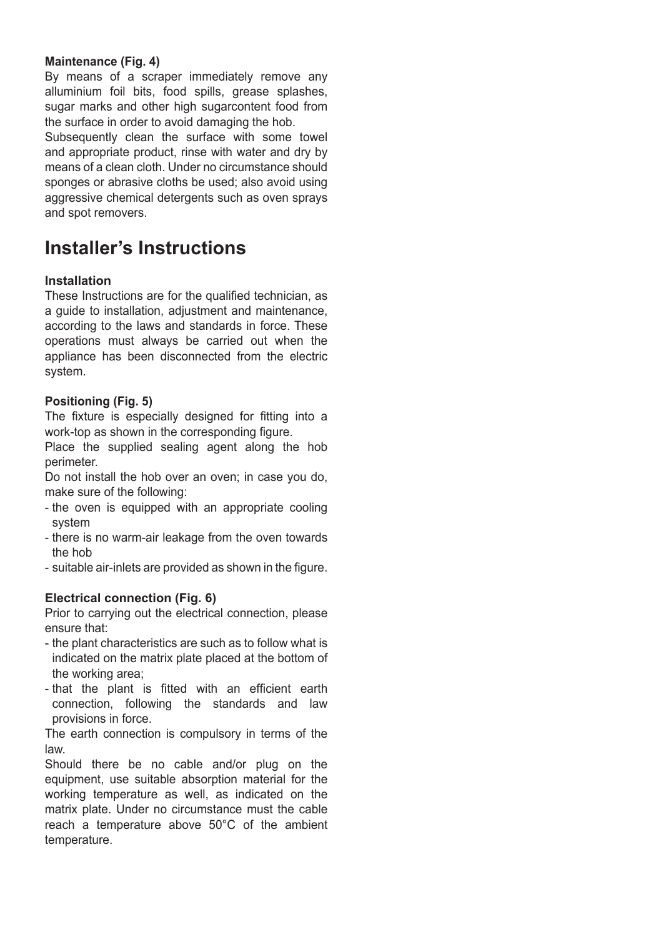#### **Maintenance (Fig. 4)**

By means of a scraper immediately remove any alluminium foil bits, food spills, grease splashes, sugar marks and other high sugarcontent food from the surface in order to avoid damaging the hob.

Subsequently clean the surface with some towel and appropriate product, rinse with water and dry by means of a clean cloth. Under no circumstance should sponges or abrasive cloths be used; also avoid using aggressive chemical detergents such as oven sprays and spot removers.

# **Installer's Instructions**

#### **Installation**

These Instructions are for the qualified technician, as a guide to installation, adjustment and maintenance, according to the laws and standards in force. These operations must always be carried out when the appliance has been disconnected from the electric system.

#### **Positioning (Fig. 5)**

The fixture is especially designed for fitting into a work-top as shown in the corresponding figure.

Place the supplied sealing agent along the hob perimeter.

Do not install the hob over an oven; in case you do, make sure of the following:

- the oven is equipped with an appropriate cooling system
- there is no warm-air leakage from the oven towards the hob
- suitable air-inlets are provided as shown in the figure.

#### **Electrical connection (Fig. 6)**

Prior to carrying out the electrical connection, please ensure that:

- the plant characteristics are such as to follow what is indicated on the matrix plate placed at the bottom of the working area;
- that the plant is fitted with an efficient earth connection, following the standards and law provisions in force.

The earth connection is compulsory in terms of the law.

Should there be no cable and/or plug on the equipment, use suitable absorption material for the working temperature as well, as indicated on the matrix plate. Under no circumstance must the cable reach a temperature above 50°C of the ambient temperature.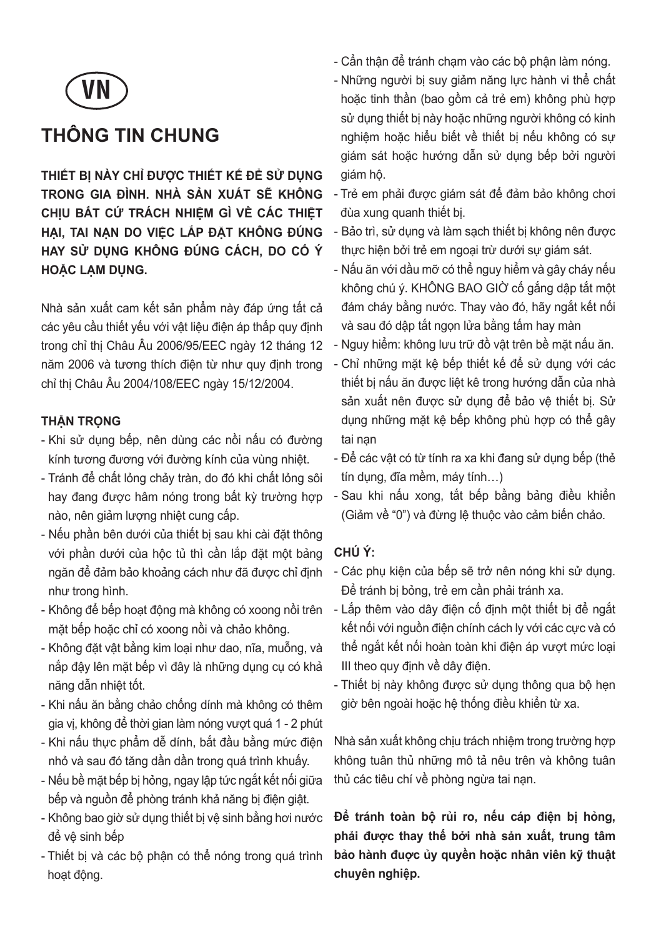

# **THÔNG TIN CHUNG**

**THIẾT BỊ NÀY CHỈ ĐƯỢC THIẾT KẾ ĐỂ SỬ DỤNG TRONG GIA ĐÌNH. NHÀ SẢN XUẤT SẼ KHÔNG CHỊU BẤT CỨ TRÁCH NHIỆM GÌ VỀ CÁC THIỆT HẠI, TAI NẠN DO VIỆC LẮP ĐẶT KHÔNG ĐÚNG HAY SỬ DỤNG KHÔNG ĐÚNG CÁCH, DO CỐ Ý HOẶC LẠM DỤNG.**

Nhà sản xuất cam kết sản phẩm này đáp ứng tất cả các yêu cầu thiết yếu với vật liệu điện áp thấp quy định trong chỉ thị Châu Âu 2006/95/EEC ngày 12 tháng 12 năm 2006 và tương thích điện từ như quy định trong chỉ thị Châu Âu 2004/108/EEC ngày 15/12/2004.

#### **THẬN TRỌNG**

- Khi sử dụng bếp, nên dùng các nồi nấu có đường kính tương đương với đường kính của vùng nhiệt.
- Tránh để chất lỏng chảy tràn, do đó khi chất lỏng sôi hay đang được hâm nóng trong bất kỳ trường hợp nào, nên giảm lượng nhiệt cung cấp.
- Nếu phần bên dưới của thiết bị sau khi cài đặt thông với phần dưới của hộc tủ thì cần lắp đặt một bảng ngăn để đảm bảo khoảng cách như đã được chỉ định như trong hình.
- Không để bếp hoạt động mà không có xoong nồi trên mặt bếp hoặc chỉ có xoong nồi và chảo không.
- Không đặt vật bằng kim loại như dao, nĩa, muỗng, và nắp đậy lên mặt bếp vì đây là những dụng cụ có khả năng dẫn nhiệt tốt.
- Khi nấu ăn bằng chảo chống dính mà không có thêm gia vị, không để thời gian làm nóng vượt quá 1 - 2 phút
- Khi nấu thực phẩm dễ dính, bắt đầu bằng mức điện nhỏ và sau đó tăng dần dần trong quá trình khuấy.
- Nếu bề mặt bếp bị hỏng, ngay lập tức ngắt kết nối giữa bếp và nguồn để phòng tránh khả năng bị điện giật.
- Không bao giờ sử dụng thiết bị vệ sinh bằng hơi nước để vệ sinh bếp
- Thiết bị và các bộ phận có thể nóng trong quá trình hoạt động.
- Cẩn thận để tránh chạm vào các bộ phận làm nóng.
- Những người bị suy giảm năng lực hành vi thể chất hoặc tinh thần (bao gồm cả trẻ em) không phù hợp sử dụng thiết bị này hoặc những người không có kinh nghiệm hoặc hiểu biết về thiết bị nếu không có sự giám sát hoặc hướng dẫn sử dụng bếp bởi người giám hộ.
- Trẻ em phải được giám sát để đảm bảo không chơi đùa xung quanh thiết bị.
- Bảo trì, sử dụng và làm sạch thiết bị không nên được thực hiện bởi trẻ em ngoại trừ dưới sự giám sát.
- Nấu ăn với dầu mỡ có thể nguy hiểm và gây cháy nếu không chú ý. KHÔNG BAO GIỜ cố gắng dập tắt một đám cháy bằng nước. Thay vào đó, hãy ngắt kết nối và sau đó dập tắt ngọn lửa bằng tấm hay màn
- Nguy hiểm: không lưu trữ đồ vật trên bề mặt nấu ăn.
- Chỉ những mặt kệ bếp thiết kế để sử dụng với các thiết bị nấu ăn được liệt kê trong hướng dẫn của nhà sản xuất nên được sử dụng để bảo vệ thiết bị. Sử dụng những mặt kệ bếp không phù hợp có thể gây tai nạn
- Để các vật có từ tính ra xa khi đang sử dụng bếp (thẻ tín dụng, đĩa mềm, máy tính…)
- Sau khi nấu xong, tắt bếp bằng bảng điều khiển (Giảm về "0") và đừng lệ thuộc vào cảm biến chảo.

#### **CHÚ Ý:**

- Các phụ kiện của bếp sẽ trở nên nóng khi sử dụng. Để tránh bị bỏng, trẻ em cần phải tránh xa.
- Lắp thêm vào dây điện cố định một thiết bị để ngắt kết nối với nguồn điện chính cách ly với các cực và có thể ngắt kết nối hoàn toàn khi điện áp vượt mức loại III theo quy định về dây điện.
- Thiết bị này không được sử dụng thông qua bộ hẹn giờ bên ngoài hoặc hệ thống điều khiển từ xa.

Nhà sản xuất không chịu trách nhiệm trong trường hợp không tuân thủ những mô tả nêu trên và không tuân thủ các tiêu chí về phòng ngừa tai nan.

**Để tránh toàn bộ rủi ro, nếu cáp điện bị hỏng, phải được thay thế bởi nhà sản xuất, trung tâm bảo hành đuợc ủy quyền hoặc nhân viên kỹ thuật chuyên nghiệp.**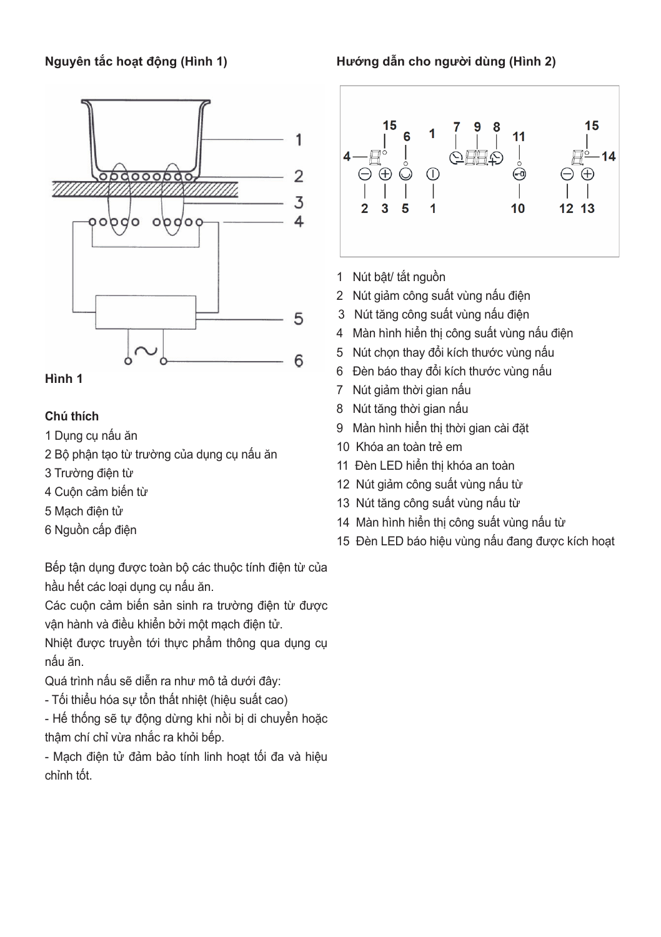#### **Nguyên tắc hoạt động (Hình 1)**



#### **Hình 1**

#### **Chú thích**

- 1 Dụng cụ nấu ăn
- 2 Bộ phận tạo từ trường của dụng cụ nấu ăn
- 3 Trường điện từ
- 4 Cuộn cảm biến từ
- 5 Mạch điện tử
- 6 Nguồn cấp điện

Bếp tận dụng được toàn bộ các thuộc tính điện từ của hầu hết các loại dụng cụ nấu ăn.

Các cuộn cảm biến sản sinh ra trường điện từ được vận hành và điều khiển bởi một mạch điện tử.

Nhiệt được truyền tới thực phẩm thông qua dụng cụ nấu ăn.

Quá trình nấu sẽ diễn ra như mô tả dưới đây:

- Tối thiểu hóa sự tổn thất nhiệt (hiệu suất cao)

- Hế thống sẽ tự động dừng khi nồi bị di chuyển hoặc thậm chí chỉ vừa nhắc ra khỏi bếp.

- Mạch điện tử đảm bảo tính linh hoạt tối đa và hiệu chỉnh tốt.

**Hướng dẫn cho người dùng (Hình 2)**



- 1 Nút bật/ tắt nguồn
- 2 Nút giảm công suất vùng nấu điện
- 3 Nút tăng công suất vùng nấu điện
- 4 Màn hình hiển thị công suất vùng nấu điện
- 5 Nút chọn thay đổi kích thước vùng nấu
- 6 Đèn báo thay đổi kích thước vùng nấu
- 7 Nút giảm thời gian nấu
- 8 Nút tăng thời gian nấu
- 9 Màn hình hiển thị thời gian cài đặt
- 10 Khóa an toàn trẻ em
- 11 Đèn LED hiển thị khóa an toàn
- 12 Nút giảm công suất vùng nấu từ
- 13 Nút tăng công suất vùng nấu từ
- 14 Màn hình hiển thị công suất vùng nấu từ
- 15 Đèn LED báo hiệu vùng nấu đang được kích hoạt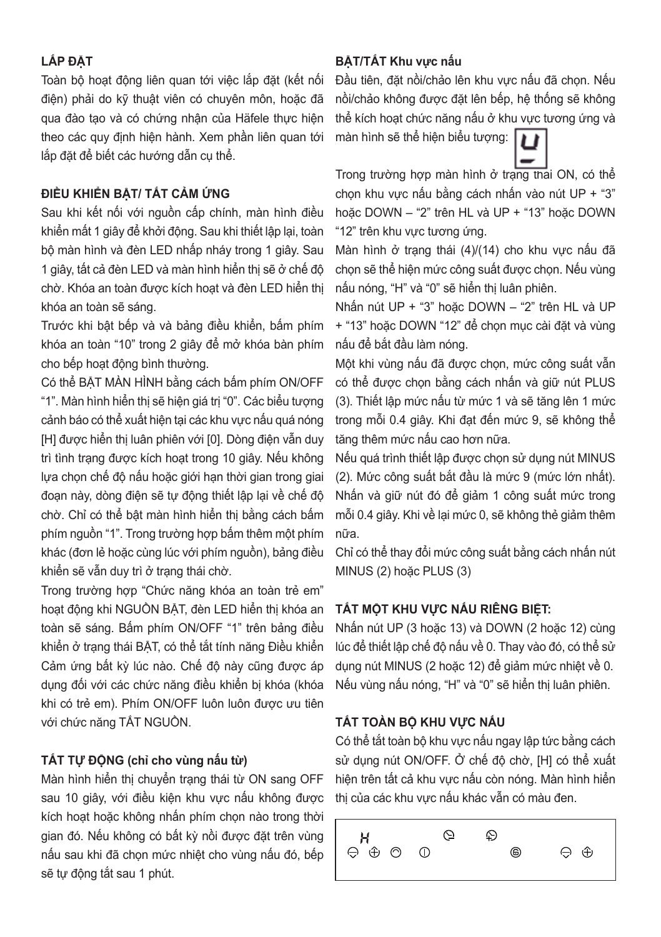#### **LẮP ĐẶT**

Toàn bộ hoạt động liên quan tới việc lắp đặt (kết nối điện) phải do kỹ thuật viên có chuyên môn, hoặc đã qua đào tạo và có chứng nhân của Häfele thực hiện theo các quy định hiện hành. Xem phần liên quan tới lắp đặt để biết các hướng dẫn cụ thể.

#### **ĐIỀU KHIỂN BẬT/ TẮT CẢM ỨNG**

Sau khi kết nối với nguồn cấp chính, màn hình điều khiển mất 1 giây để khởi động. Sau khi thiết lập lại, toàn bộ màn hình và đèn LED nhấp nháy trong 1 giây. Sau 1 giây, tất cả đèn LED và màn hình hiển thị sẽ ở chế độ chờ. Khóa an toàn được kích hoạt và đèn LED hiển thị khóa an toàn sẽ sáng.

Trước khi bật bếp và và bảng điều khiển, bấm phím khóa an toàn "10" trong 2 giây để mở khóa bàn phím cho bếp hoạt động bình thường.

Có thể BẬT MÀN HÌNH bằng cách bấm phím ON/OFF "1". Màn hình hiển thị sẽ hiện giá trị "0". Các biểu tượng cảnh báo có thể xuất hiện tại các khu vực nấu quá nóng [H] được hiển thị luân phiên với [0]. Dòng điện vẫn duy trì tình trạng được kích hoạt trong 10 giây. Nếu không lựa chọn chế độ nấu hoặc giới hạn thời gian trong giai đoạn này, dòng điện sẽ tự động thiết lập lại về chế độ chờ. Chỉ có thể bật màn hình hiển thị bằng cách bấm phím nguồn "1". Trong trường hợp bấm thêm một phím khác (đơn lẻ hoặc cùng lúc với phím nguồn), bảng điều khiển sẽ vẫn duy trì ở trạng thái chờ.

Trong trường hợp "Chức năng khóa an toàn trẻ em" hoạt động khi NGUỒN BẬT, đèn LED hiển thị khóa an toàn sẽ sáng. Bấm phím ON/OFF "1" trên bảng điều khiển ở trạng thái BẬT, có thể tắt tính năng Điều khiển Cảm ứng bất kỳ lúc nào. Chế độ này cũng được áp dụng đối với các chức năng điều khiển bị khóa (khóa khi có trẻ em). Phím ON/OFF luôn luôn được ưu tiên với chức năng TẮT NGUỒN.

### **TẮT TỰ ĐỘNG (chỉ cho vùng nấu từ)**

Màn hình hiển thị chuyển trang thái từ ON sang OFF sau 10 giây, với điều kiện khu vực nấu không được kích hoạt hoặc không nhấn phím chọn nào trong thời gian đó. Nếu không có bất kỳ nồi được đặt trên vùng nấu sau khi đã chọn mức nhiệt cho vùng nấu đó, bếp sẽ tự động tắt sau 1 phút.

## **BẬT/TẮT Khu vực nấu**

Đầu tiên, đặt nồi/chảo lên khu vực nấu đã chọn. Nếu nồi/chảo không được đặt lên bếp, hệ thống sẽ không thể kích hoạt chức năng nấu ở khu vực tương ứng và

màn hình sẽ thể hiện biểu tượng:

Trong trường hợp màn hình ở trạng thái ON, có thể chọn khu vực nấu bằng cách nhấn vào nút UP + "3" hoặc DOWN – "2" trên HL và UP + "13" hoặc DOWN "12" trên khu vực tương ứng.

Màn hình ở trạng thái (4)/(14) cho khu vực nấu đã chọn sẽ thể hiện mức công suất được chọn. Nếu vùng nấu nóng, "H" và "0" sẽ hiển thị luân phiên.

Nhấn nút UP + "3" hoặc DOWN – "2" trên HL và UP + "13" hoặc DOWN "12" để chọn mục cài đặt và vùng nấu để bắt đầu làm nóng.

Một khi vùng nấu đã được chọn, mức công suất vẫn có thể được chọn bằng cách nhấn và giữ nút PLUS (3). Thiết lập mức nấu từ mức 1 và sẽ tăng lên 1 mức trong mỗi 0.4 giây. Khi đạt đến mức 9, sẽ không thể tăng thêm mức nấu cao hơn nữa.

Nếu quá trình thiết lập được chọn sử dụng nút MINUS (2). Mức công suất bắt đầu là mức 9 (mức lớn nhất). Nhấn và giữ nút đó để giảm 1 công suất mức trong mỗi 0.4 giây. Khi về lại mức 0, sẽ không thẻ giảm thêm nữa.

Chỉ có thể thay đổi mức công suất bằng cách nhấn nút MINUS (2) hoặc PLUS (3)

## **TẮT MỘT KHU VỰC NẤU RIÊNG BIỆT:**

Nhấn nút UP (3 hoặc 13) và DOWN (2 hoặc 12) cùng lúc để thiết lập chế độ nấu về 0. Thay vào đó, có thể sử dụng nút MINUS (2 hoặc 12) để giảm mức nhiệt về 0. Nếu vùng nấu nóng, "H" và "0" sẽ hiển thị luân phiên.

## **TẮT TOÀN BỘ KHU VỰC NẤU**

Có thể tắt toàn bộ khu vực nấu ngay lập tức bằng cách sử dụng nút ON/OFF. Ở chế độ chờ, [H] có thể xuất hiện trên tất cả khu vực nấu còn nóng. Màn hình hiển thị của các khu vực nấu khác vẫn có màu đen.

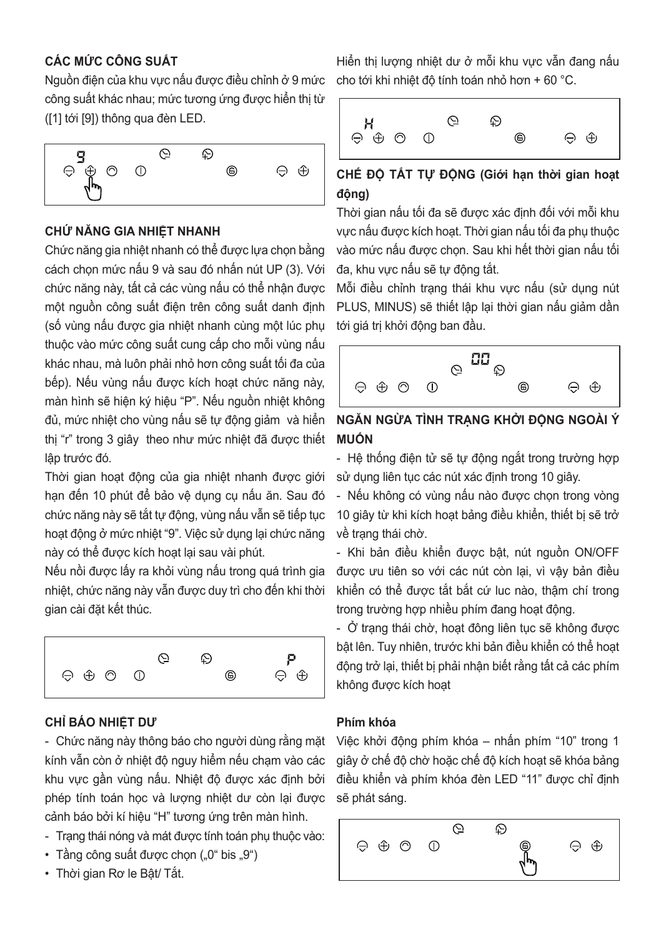## **CÁC MỨC CÔNG SUẤT**

Nguồn điện của khu vực nấu được điều chỉnh ở 9 mức công suất khác nhau; mức tương ứng được hiển thị từ ([1] tới [9]) thông qua đèn LED.



#### **CHỨ NĂNG GIA NHIỆT NHANH**

Chức năng gia nhiệt nhanh có thể được lựa chọn bằng cách chọn mức nấu 9 và sau đó nhấn nút UP (3). Với chức năng này, tất cả các vùng nấu có thể nhận được một nguồn công suất điện trên công suất danh định (số vùng nấu được gia nhiệt nhanh cùng một lúc phụ thuộc vào mức công suất cung cấp cho mỗi vùng nấu khác nhau, mà luôn phải nhỏ hơn công suất tối đa của bếp). Nếu vùng nấu được kích hoạt chức năng này, màn hình sẽ hiện ký hiệu "P". Nếu nguồn nhiệt không đủ, mức nhiệt cho vùng nấu sẽ tự động giảm và hiển thị "r" trong 3 giây theo như mức nhiệt đã được thiết lập trước đó.

Thời gian hoạt động của gia nhiệt nhanh được giới hạn đến 10 phút để bảo vệ dụng cụ nấu ăn. Sau đó chức năng này sẽ tắt tự động, vùng nấu vẫn sẽ tiếp tục hoạt đông ở mức nhiệt "9". Việc sử dụng lại chức năng này có thể được kích hoạt lại sau vài phút.

Nếu nồi được lấy ra khỏi vùng nấu trong quá trình gia nhiệt, chức năng này vẫn được duy trì cho đến khi thời gian cài đặt kết thúc.



### **CHỈ BÁO NHIỆT DƯ**

- Chức năng này thông báo cho người dùng rằng mặt kính vẫn còn ở nhiệt độ nguy hiểm nếu chạm vào các khu vực gần vùng nấu. Nhiệt độ được xác định bởi phép tính toán học và lượng nhiệt dư còn lại được cảnh báo bởi kí hiệu "H" tương ứng trên màn hình.

- Trạng thái nóng và mát được tính toán phụ thuộc vào:
- $\cdot$  Tầng công suất được chon  $(.0^{\circ}$  bis  $.9^{\circ})$
- Thời gian Rơ le Bật/ Tắt.

Hiển thị lượng nhiệt dư ở mỗi khu vực vẫn đang nấu cho tới khi nhiệt độ tính toán nhỏ hơn + 60 °C.



# **CHẾ ĐỘ TẮT TỰ ĐỘNG (Giới hạn thời gian hoạt động)**

Thời gian nấu tối đa sẽ được xác định đối với mỗi khu vực nấu được kích hoạt. Thời gian nấu tối đa phụ thuộc vào mức nấu được chọn. Sau khi hết thời gian nấu tối đa, khu vực nấu sẽ tự động tắt.

Mỗi điều chỉnh trạng thái khu vực nấu (sử dụng nút PLUS, MINUS) sẽ thiết lập lại thời gian nấu giảm dần tới giá trị khởi động ban đầu.



### **NGĂN NGỪA TÌNH TRẠNG KHỞI ĐỘNG NGOÀI Ý MUỐN**

- Hệ thống điện tử sẽ tự động ngắt trong trường hợp sử dụng liên tục các nút xác định trong 10 giây.

- Nếu không có vùng nấu nào được chọn trong vòng 10 giây từ khi kích hoạt bảng điều khiển, thiết bị sẽ trở về trạng thái chờ.

- Khi bản điều khiển được bật, nút nguồn ON/OFF được ưu tiên so với các nút còn lại, vì vậy bản điều khiển có thể được tắt bắt cứ luc nào, thậm chí trong trong trường hợp nhiều phím đang hoạt động.

- Ở trạng thái chờ, hoạt đông liên tục sẽ không được bật lên. Tuy nhiên, trước khi bản điều khiển có thể hoạt động trở lại, thiết bị phải nhận biết rằng tất cả các phím không được kích hoạt

#### **Phím khóa**

Việc khởi động phím khóa – nhấn phím "10" trong 1 giây ở chế độ chờ hoặc chế độ kích hoạt sẽ khóa bảng điều khiển và phím khóa đèn LED "11" được chỉ định sẽ phát sáng.

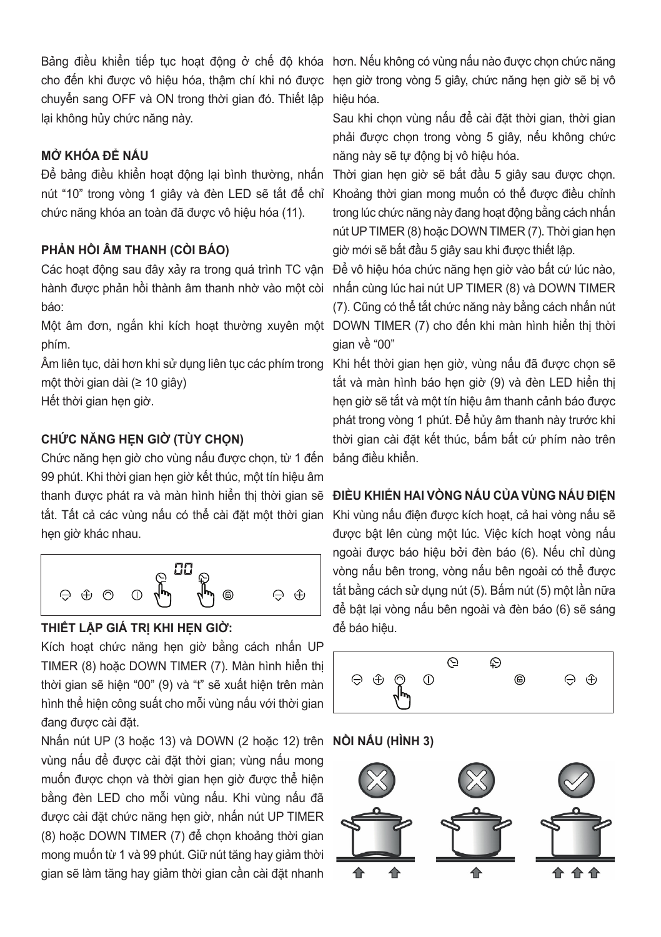chuyển sang OFF và ON trong thời gian đó. Thiết lập hiệu hóa. lại không hủy chức năng này.

#### **MỞ KHÓA ĐỂ NẤU**

nút "10" trong vòng 1 giây và đèn LED sẽ tắt để chỉ chức năng khóa an toàn đã được vô hiệu hóa (11).

#### **PHẢN HỒI ÂM THANH (CÒI BÁO)**

Các hoạt động sau đây xảy ra trong quá trình TC vận báo:

phím.

Âm liên tục, dài hơn khi sử dụng liên tục các phím trong một thời gian dài (≥ 10 giây)

Hết thời gian hẹn giờ.

### **CHỨC NĂNG HẸN GIỜ (TÙY CHỌN)**

Chức năng hẹn giờ cho vùng nấu được chọn, từ 1 đến bảng điều khiển. 99 phút. Khi thời gian hẹn giờ kết thúc, một tín hiệu âm thanh được phát ra và màn hình hiên thị thời gian sẽ **ĐIEU KHIEN HAI VONG NAU CUA VUNG NAU ĐIỆN** tắt. Tất cả các vùng nấu có thể cài đặt một thời gian hẹn giờ khác nhau.



#### **THIẾT LẬP GIÁ TRỊ KHI HẸN GIỜ:**

Kích hoạt chức năng hẹn giờ bằng cách nhấn UP TIMER (8) hoặc DOWN TIMER (7). Màn hình hiển thị thời gian sẽ hiện "00" (9) và "t" sẽ xuất hiện trên màn hình thể hiện công suất cho mỗi vùng nấu với thời gian đang được cài đặt.

Nhấn nút UP (3 hoặc 13) và DOWN (2 hoặc 12) trên **NỒI NẤU (HÌNH 3)**vùng nấu để được cài đặt thời gian; vùng nấu mong muốn được chọn và thời gian hẹn giờ được thể hiện bằng đèn LED cho mỗi vùng nấu. Khi vùng nấu đã được cài đặt chức năng hẹn giờ, nhấn nút UP TIMER (8) hoặc DOWN TIMER (7) để chọn khoảng thời gian mong muốn từ 1 và 99 phút. Giữ nút tăng hay giảm thời gian sẽ làm tăng hay giảm thời gian cần cài đặt nhanh

Bảng điều khiên tiếp tục hoạt động ở chế độ khóa hơn. Nếu không có vùng nâu nào được chọn chức năng cho đến khi được vô hiệu hóa, thậm chí khi nó được hẹn giờ trong vòng 5 giây, chức năng hẹn giờ sẽ bị vô

> Sau khi chọn vùng nấu để cài đặt thời gian, thời gian phải được chọn trong vòng 5 giây, nếu không chức năng này sẽ tự động bị vô hiệu hóa.

Đê báng điêu khiên hoạt động lại bình thường, nhân Thời gian hẹn giờ sẽ băt đâu 5 giây sau được chọn. Khoảng thời gian mong muốn có thể được điều chỉnh trong lúc chức năng này đang hoạt động bằng cách nhấn nút UP TIMER (8) hoặc DOWN TIMER (7). Thời gian hẹn giờ mới sẽ bắt đầu 5 giây sau khi được thiết lập.

hành được phán hôi thành âm thanh nhờ vào một còi nhân cùng lúc hai nút UP TIMER (8) và DOWN TIMER Một âm đơn, ngắn khi kích hoạt thường xuyên một DOWN TIMER (7) cho đến khi màn hình hiển thị thời Để vô hiệu hóa chức năng hẹn giờ vào bất cứ lúc nào, (7). Cũng có thể tắt chức năng này bằng cách nhấn nút gian về "00"

> Khi hết thời gian hẹn giờ, vùng nấu đã được chọn sẽ tắt và màn hình báo hẹn giờ (9) và đèn LED hiển thị hẹn giờ sẽ tắt và một tín hiệu âm thanh cảnh báo được phát trong vòng 1 phút. Để hủy âm thanh này trước khi thời gian cài đặt kết thúc, bấm bất cứ phím nào trên

Khi vùng nấu điện được kích hoạt, cả hai vòng nấu sẽ được bật lên cùng một lúc. Việc kích hoạt vòng nấu ngoài được báo hiệu bởi đèn báo (6). Nếu chỉ dùng vòng nấu bên trong, vòng nấu bên ngoài có thể được tắt bằng cách sử dụng nút (5). Bấm nút (5) một lần nữa để bật lại vòng nấu bên ngoài và đèn báo (6) sẽ sáng để báo hiệu.



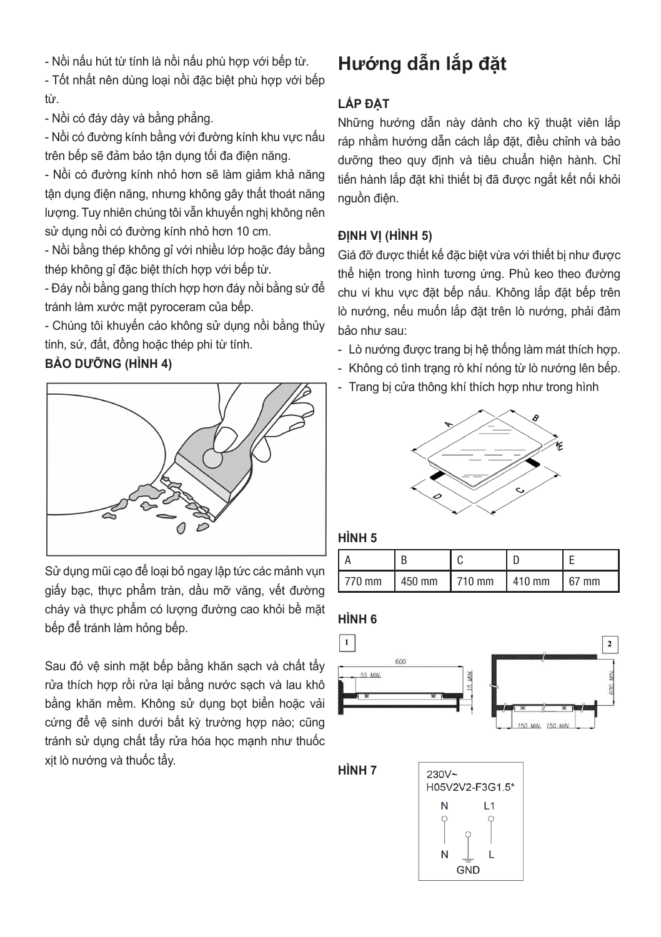- Nồi nấu hút từ tính là nồi nấu phù hợp với bếp từ.

- Tốt nhất nên dùng loại nồi đặc biệt phù hợp với bếp từ.

- Nồi có đáy dày và bằng phẳng.

- Nồi có đường kính bằng với đường kính khu vực nấu trên bếp sẽ đảm bảo tận dụng tối đa điện năng.

- Nồi có đường kính nhỏ hơn sẽ làm giảm khả năng tận dụng điện năng, nhưng không gây thất thoát năng lượng. Tuy nhiên chúng tôi vẫn khuyến nghị không nên sử dụng nồi có đường kính nhỏ hơn 10 cm.

- Nồi bằng thép không gỉ với nhiều lớp hoặc đáy bằng thép không gỉ đặc biệt thích hợp với bếp từ.

- Đáy nồi bằng gang thích hợp hơn đáy nồi bằng sứ để tránh làm xước mặt pyroceram của bếp.

- Chúng tôi khuyến cáo không sử dụng nồi bằng thủy tinh, sứ, đất, đồng hoặc thép phi từ tính.

#### **BẢO DƯỠNG (HÌNH 4)**



Sử dụng mũi cạo để loại bỏ ngay lập tức các mảnh vụn giấy bạc, thực phẩm tràn, dầu mỡ văng, vết đường cháy và thực phẩm có lượng đường cao khỏi bề mặt bếp để tránh làm hỏng bếp.

Sau đó vệ sinh mặt bếp bằng khăn sạch và chất tẩy rửa thích hợp rồi rửa lại bằng nước sạch và lau khô bằng khăn mềm. Không sử dụng bọt biển hoặc vải cứng để vệ sinh dưới bất kỳ trường hợp nào; cũng tránh sử dụng chất tẩy rửa hóa học mạnh như thuốc xịt lò nướng và thuốc tẩy.

# **Hướng dẫn lắp đặt**

## **LẮP ĐẶT**

Những hướng dẫn này dành cho kỹ thuật viên lắp ráp nhằm hướng dẫn cách lắp đặt, điều chỉnh và bảo dưỡng theo quy định và tiêu chuẩn hiện hành. Chỉ tiến hành lắp đặt khi thiết bị đã được ngắt kết nối khỏi nguồn điện.

#### **ĐỊNH VỊ (HÌNH 5)**

Giá đỡ được thiết kế đặc biệt vừa với thiết bị như được thể hiện trong hình tương ứng. Phủ keo theo đường chu vi khu vực đặt bếp nấu. Không lắp đặt bếp trên lò nướng, nếu muốn lắp đặt trên lò nướng, phải đảm bảo như sau:

- Lò nướng được trang bị hệ thống làm mát thích hợp.
- Không có tình trạng rò khí nóng từ lò nướng lên bếp.
- Trang bị cửa thông khí thích hợp như trong hình



#### **HÌNH 5**

| $1770$ mm | $1450$ mm | $1710 \text{ mm}$ $1410 \text{ mm}$ | $167$ mm |
|-----------|-----------|-------------------------------------|----------|

#### **HÌNH 6**